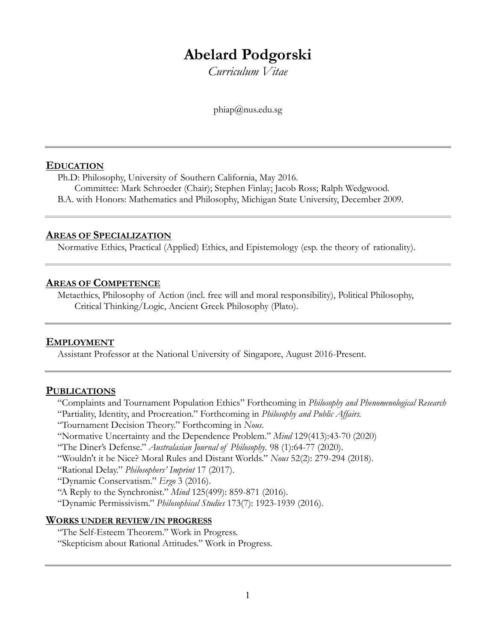# **Abelard Podgorski**

*Curriculum Vitae*

[phiap@nus.edu.sg](mailto:podgorsk@usc.edu)

#### **EDUCATION**

Ph.D: Philosophy, University of Southern California, May 2016. Committee: Mark Schroeder (Chair); Stephen Finlay; Jacob Ross; Ralph Wedgwood. B.A. with Honors: Mathematics and Philosophy, Michigan State University, December 2009.

#### **AREAS OF SPECIALIZATION**

Normative Ethics, Practical (Applied) Ethics, and Epistemology (esp. the theory of rationality).

#### **AREAS OF COMPETENCE**

Metaethics, Philosophy of Action (incl. free will and moral responsibility), Political Philosophy, Critical Thinking/Logic, Ancient Greek Philosophy (Plato).

## **EMPLOYMENT**

Assistant Professor at the National University of Singapore, August 2016-Present.

#### **PUBLICATIONS**

"Complaints and Tournament Population Ethics" Forthcoming in *Philosophy and Phenomenological Research*

- "Partiality, Identity, and Procreation." Forthcoming in *Philosophy and Public Affairs.*
- "Tournament Decision Theory." Forthcoming in *Nous*.
- "Normative Uncertainty and the Dependence Problem." *Mind* 129(413):43-70 (2020)

"The Diner's Defense." *Australasian Journal of Philosophy*. 98 (1):64-77 (2020).

"Wouldn't it be Nice? Moral Rules and Distant Worlds." *Nous* 52(2): 279-294 (2018).

"Rational Delay." *Philosophers' Imprint* 17 (2017).

"Dynamic Conservatism." *Ergo* 3 (2016).

"A Reply to the Synchronist." *Mind* 125(499): 859-871 (2016).

"Dynamic Permissivism." *Philosophical Studies* 173(7): 1923-1939 (2016).

#### **WORKS UNDER REVIEW/IN PROGRESS**

"The Self-Esteem Theorem." Work in Progress. "Skepticism about Rational Attitudes." Work in Progress.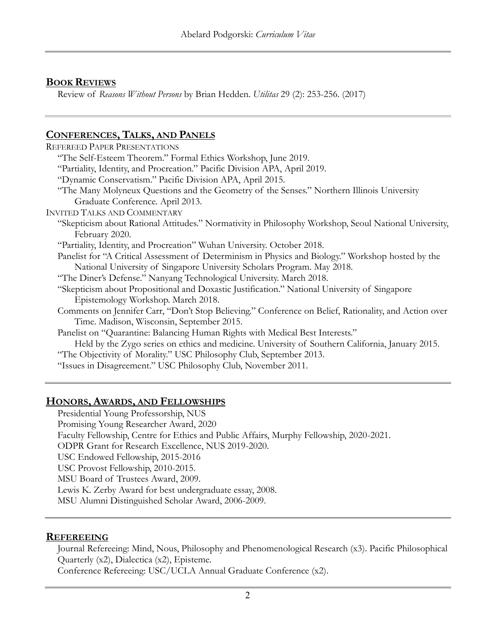# **BOOK REVIEWS**

Review of *Reasons Without Persons* by Brian Hedden. *Utilitas* 29 (2): 253-256. (2017)

# **CONFERENCES, TALKS, AND PANELS**

| <b>REFEREED PAPER PRESENTATIONS</b>                                                                   |
|-------------------------------------------------------------------------------------------------------|
| "The Self-Esteem Theorem." Formal Ethics Workshop, June 2019.                                         |
| "Partiality, Identity, and Procreation." Pacific Division APA, April 2019.                            |
| "Dynamic Conservatism." Pacific Division APA, April 2015.                                             |
| "The Many Molyneux Questions and the Geometry of the Senses." Northern Illinois University            |
| Graduate Conference. April 2013.                                                                      |
| <b>INVITED TALKS AND COMMENTARY</b>                                                                   |
| "Skepticism about Rational Attitudes." Normativity in Philosophy Workshop, Seoul National University, |
| February 2020.                                                                                        |
| "Partiality, Identity, and Procreation" Wuhan University. October 2018.                               |
| Panelist for "A Critical Assessment of Determinism in Physics and Biology." Workshop hosted by the    |
| National University of Singapore University Scholars Program. May 2018.                               |
| "The Diner's Defense." Nanyang Technological University. March 2018.                                  |
| "Skepticism about Propositional and Doxastic Justification." National University of Singapore         |
| Epistemology Workshop. March 2018.                                                                    |
| Comments on Jennifer Carr, "Don't Stop Believing." Conference on Belief, Rationality, and Action over |
| Time. Madison, Wisconsin, September 2015.                                                             |
| Panelist on "Quarantine: Balancing Human Rights with Medical Best Interests."                         |
| Held by the Zygo series on ethics and medicine. University of Southern California, January 2015.      |
| "The Objectivity of Morality." USC Philosophy Club, September 2013.                                   |
| "Issues in Disagreement." USC Philosophy Club, November 2011.                                         |
|                                                                                                       |

## **HONORS, AWARDS, AND FELLOWSHIPS**

Presidential Young Professorship, NUS Promising Young Researcher Award, 2020 Faculty Fellowship, Centre for Ethics and Public Affairs, Murphy Fellowship, 2020-2021. ODPR Grant for Research Excellence, NUS 2019-2020. USC Endowed Fellowship, 2015-2016 USC Provost Fellowship, 2010-2015. MSU Board of Trustees Award, 2009. Lewis K. Zerby Award for best undergraduate essay, 2008. MSU Alumni Distinguished Scholar Award, 2006-2009.

## **REFEREEING**

Journal Refereeing: Mind, Nous, Philosophy and Phenomenological Research (x3). Pacific Philosophical Quarterly (x2), Dialectica (x2), Episteme.

Conference Refereeing: USC/UCLA Annual Graduate Conference (x2).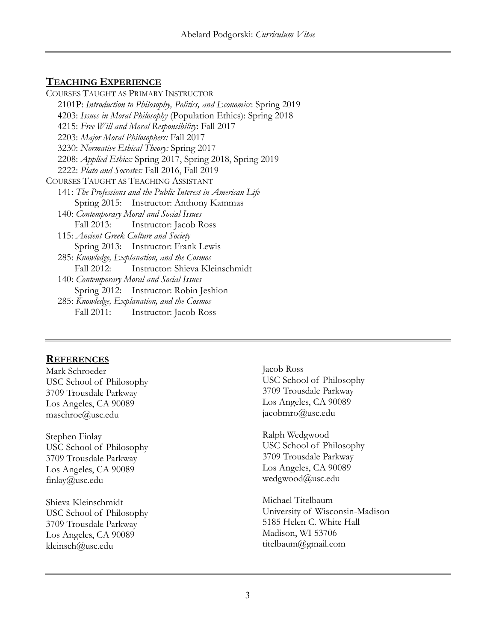## **TEACHING EXPERIENCE**

COURSES TAUGHT AS PRIMARY INSTRUCTOR 2101P: *Introduction to Philosophy, Politics, and Economics*: Spring 2019 4203: *Issues in Moral Philosophy* (Population Ethics): Spring 2018 4215: *Free Will and Moral Responsibility*: Fall 2017 2203: *Major Moral Philosophers:* Fall 2017 3230: *Normative Ethical Theory:* Spring 2017 2208: *Applied Ethics:* Spring 2017, Spring 2018, Spring 2019 2222: *Plato and Socrates:* Fall 2016, Fall 2019 COURSES TAUGHT AS TEACHING ASSISTANT 141: *The Professions and the Public Interest in American Life* Spring 2015: Instructor: Anthony Kammas 140: *Contemporary Moral and Social Issues* Fall 2013: Instructor: Jacob Ross 115: *Ancient Greek Culture and Society* Spring 2013: Instructor: Frank Lewis 285: *Knowledge, Explanation, and the Cosmos* Fall 2012: Instructor: Shieva Kleinschmidt 140: *Contemporary Moral and Social Issues* Spring 2012: Instructor: Robin Jeshion 285: *Knowledge, Explanation, and the Cosmos* Fall 2011: Instructor: Jacob Ross

#### **REFERENCES**

Mark Schroeder USC School of Philosophy 3709 Trousdale Parkway Los Angeles, CA 90089 maschroe@usc.edu

Stephen Finlay USC School of Philosophy 3709 Trousdale Parkway Los Angeles, CA 90089 finlay@usc.edu

Shieva Kleinschmidt USC School of Philosophy 3709 Trousdale Parkway Los Angeles, CA 90089 kleinsch@usc.edu

Jacob Ross USC School of Philosophy 3709 Trousdale Parkway Los Angeles, CA 90089 jacobmro@usc.edu

Ralph Wedgwood USC School of Philosophy 3709 Trousdale Parkway Los Angeles, CA 90089 wedgwood@usc.edu

Michael Titelbaum University of Wisconsin-Madison 5185 Helen C. White Hall Madison, WI 53706 titelbaum@gmail.com